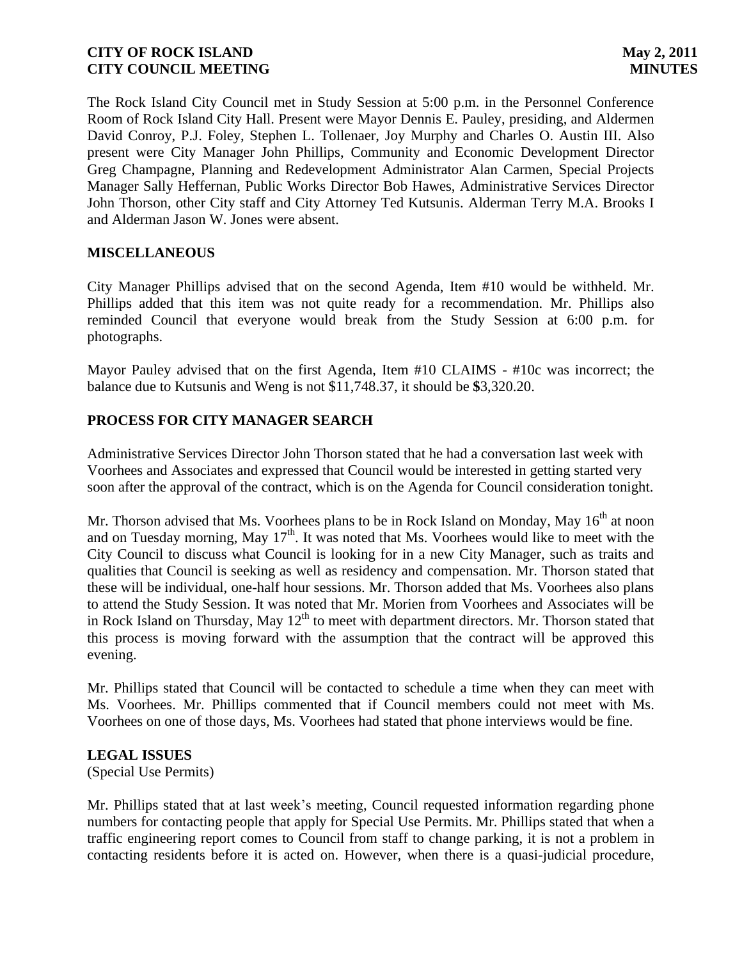The Rock Island City Council met in Study Session at 5:00 p.m. in the Personnel Conference Room of Rock Island City Hall. Present were Mayor Dennis E. Pauley, presiding, and Aldermen David Conroy, P.J. Foley, Stephen L. Tollenaer, Joy Murphy and Charles O. Austin III. Also present were City Manager John Phillips, Community and Economic Development Director Greg Champagne, Planning and Redevelopment Administrator Alan Carmen, Special Projects Manager Sally Heffernan, Public Works Director Bob Hawes, Administrative Services Director John Thorson, other City staff and City Attorney Ted Kutsunis. Alderman Terry M.A. Brooks I and Alderman Jason W. Jones were absent.

## **MISCELLANEOUS**

City Manager Phillips advised that on the second Agenda, Item #10 would be withheld. Mr. Phillips added that this item was not quite ready for a recommendation. Mr. Phillips also reminded Council that everyone would break from the Study Session at 6:00 p.m. for photographs.

Mayor Pauley advised that on the first Agenda, Item #10 CLAIMS - #10c was incorrect; the balance due to Kutsunis and Weng is not \$11,748.37, it should be **\$**3,320.20.

## **PROCESS FOR CITY MANAGER SEARCH**

Administrative Services Director John Thorson stated that he had a conversation last week with Voorhees and Associates and expressed that Council would be interested in getting started very soon after the approval of the contract, which is on the Agenda for Council consideration tonight.

Mr. Thorson advised that Ms. Voorhees plans to be in Rock Island on Monday, May 16<sup>th</sup> at noon and on Tuesday morning, May  $17<sup>th</sup>$ . It was noted that Ms. Voorhees would like to meet with the City Council to discuss what Council is looking for in a new City Manager, such as traits and qualities that Council is seeking as well as residency and compensation. Mr. Thorson stated that these will be individual, one-half hour sessions. Mr. Thorson added that Ms. Voorhees also plans to attend the Study Session. It was noted that Mr. Morien from Voorhees and Associates will be in Rock Island on Thursday, May  $12<sup>th</sup>$  to meet with department directors. Mr. Thorson stated that this process is moving forward with the assumption that the contract will be approved this evening.

Mr. Phillips stated that Council will be contacted to schedule a time when they can meet with Ms. Voorhees. Mr. Phillips commented that if Council members could not meet with Ms. Voorhees on one of those days, Ms. Voorhees had stated that phone interviews would be fine.

## **LEGAL ISSUES**

(Special Use Permits)

Mr. Phillips stated that at last week's meeting, Council requested information regarding phone numbers for contacting people that apply for Special Use Permits. Mr. Phillips stated that when a traffic engineering report comes to Council from staff to change parking, it is not a problem in contacting residents before it is acted on. However, when there is a quasi-judicial procedure,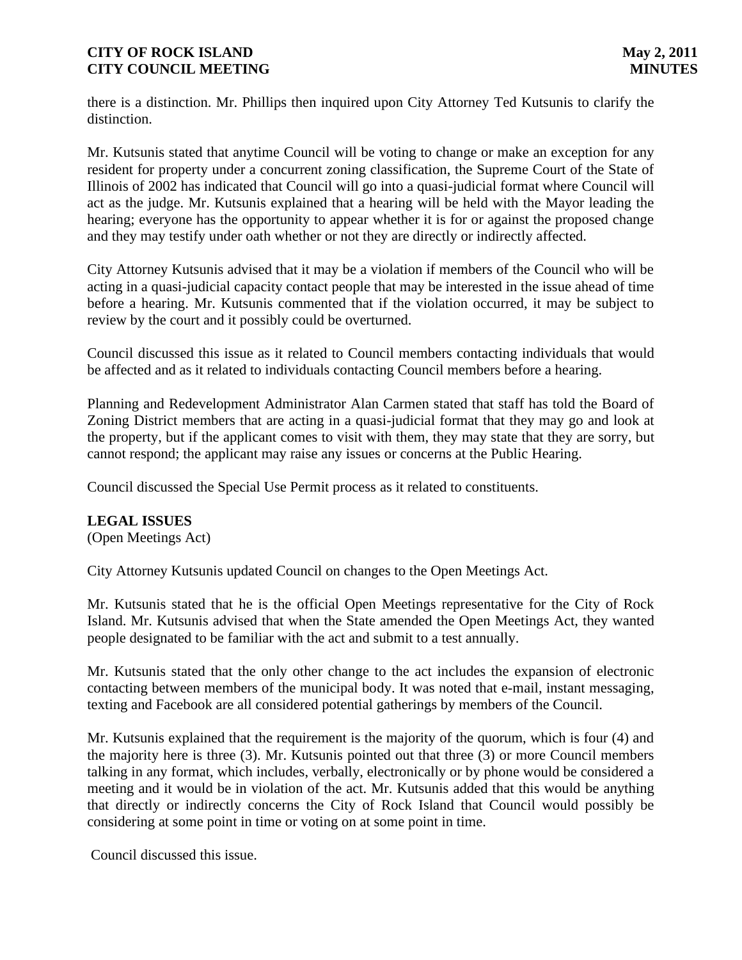there is a distinction. Mr. Phillips then inquired upon City Attorney Ted Kutsunis to clarify the distinction.

Mr. Kutsunis stated that anytime Council will be voting to change or make an exception for any resident for property under a concurrent zoning classification, the Supreme Court of the State of Illinois of 2002 has indicated that Council will go into a quasi-judicial format where Council will act as the judge. Mr. Kutsunis explained that a hearing will be held with the Mayor leading the hearing; everyone has the opportunity to appear whether it is for or against the proposed change and they may testify under oath whether or not they are directly or indirectly affected.

City Attorney Kutsunis advised that it may be a violation if members of the Council who will be acting in a quasi-judicial capacity contact people that may be interested in the issue ahead of time before a hearing. Mr. Kutsunis commented that if the violation occurred, it may be subject to review by the court and it possibly could be overturned.

Council discussed this issue as it related to Council members contacting individuals that would be affected and as it related to individuals contacting Council members before a hearing.

Planning and Redevelopment Administrator Alan Carmen stated that staff has told the Board of Zoning District members that are acting in a quasi-judicial format that they may go and look at the property, but if the applicant comes to visit with them, they may state that they are sorry, but cannot respond; the applicant may raise any issues or concerns at the Public Hearing.

Council discussed the Special Use Permit process as it related to constituents.

## **LEGAL ISSUES**

(Open Meetings Act)

City Attorney Kutsunis updated Council on changes to the Open Meetings Act.

Mr. Kutsunis stated that he is the official Open Meetings representative for the City of Rock Island. Mr. Kutsunis advised that when the State amended the Open Meetings Act, they wanted people designated to be familiar with the act and submit to a test annually.

Mr. Kutsunis stated that the only other change to the act includes the expansion of electronic contacting between members of the municipal body. It was noted that e-mail, instant messaging, texting and Facebook are all considered potential gatherings by members of the Council.

Mr. Kutsunis explained that the requirement is the majority of the quorum, which is four (4) and the majority here is three (3). Mr. Kutsunis pointed out that three (3) or more Council members talking in any format, which includes, verbally, electronically or by phone would be considered a meeting and it would be in violation of the act. Mr. Kutsunis added that this would be anything that directly or indirectly concerns the City of Rock Island that Council would possibly be considering at some point in time or voting on at some point in time.

Council discussed this issue.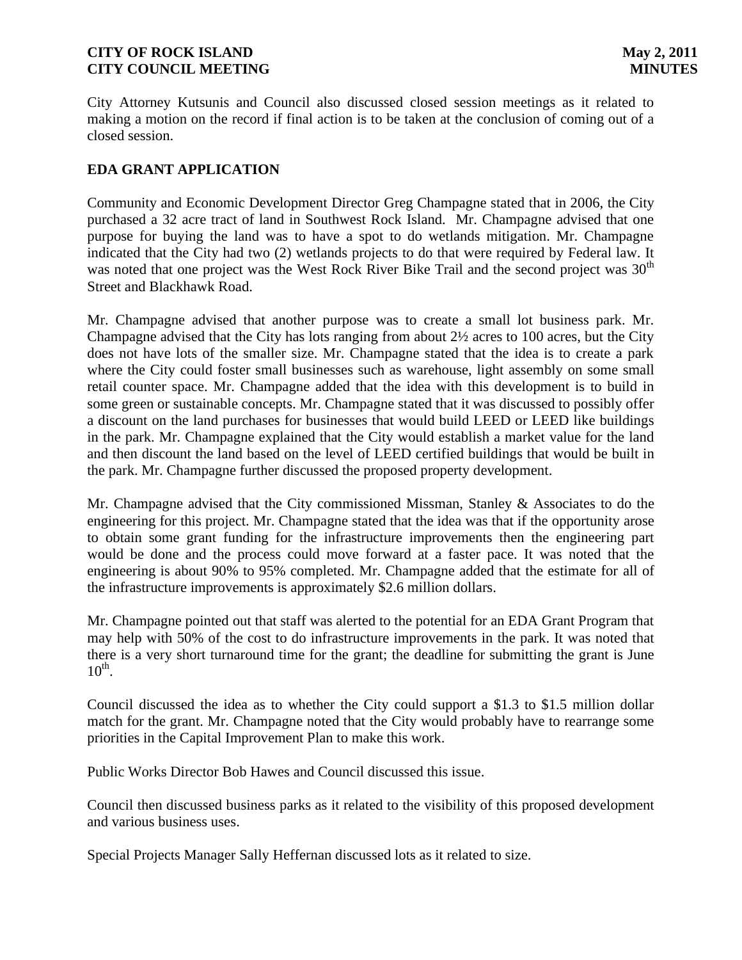City Attorney Kutsunis and Council also discussed closed session meetings as it related to making a motion on the record if final action is to be taken at the conclusion of coming out of a closed session.

# **EDA GRANT APPLICATION**

Community and Economic Development Director Greg Champagne stated that in 2006, the City purchased a 32 acre tract of land in Southwest Rock Island. Mr. Champagne advised that one purpose for buying the land was to have a spot to do wetlands mitigation. Mr. Champagne indicated that the City had two (2) wetlands projects to do that were required by Federal law. It was noted that one project was the West Rock River Bike Trail and the second project was 30<sup>th</sup> Street and Blackhawk Road.

Mr. Champagne advised that another purpose was to create a small lot business park. Mr. Champagne advised that the City has lots ranging from about 2½ acres to 100 acres, but the City does not have lots of the smaller size. Mr. Champagne stated that the idea is to create a park where the City could foster small businesses such as warehouse, light assembly on some small retail counter space. Mr. Champagne added that the idea with this development is to build in some green or sustainable concepts. Mr. Champagne stated that it was discussed to possibly offer a discount on the land purchases for businesses that would build LEED or LEED like buildings in the park. Mr. Champagne explained that the City would establish a market value for the land and then discount the land based on the level of LEED certified buildings that would be built in the park. Mr. Champagne further discussed the proposed property development.

Mr. Champagne advised that the City commissioned Missman, Stanley & Associates to do the engineering for this project. Mr. Champagne stated that the idea was that if the opportunity arose to obtain some grant funding for the infrastructure improvements then the engineering part would be done and the process could move forward at a faster pace. It was noted that the engineering is about 90% to 95% completed. Mr. Champagne added that the estimate for all of the infrastructure improvements is approximately \$2.6 million dollars.

Mr. Champagne pointed out that staff was alerted to the potential for an EDA Grant Program that may help with 50% of the cost to do infrastructure improvements in the park. It was noted that there is a very short turnaround time for the grant; the deadline for submitting the grant is June  $10^{\text{th}}$ .

Council discussed the idea as to whether the City could support a \$1.3 to \$1.5 million dollar match for the grant. Mr. Champagne noted that the City would probably have to rearrange some priorities in the Capital Improvement Plan to make this work.

Public Works Director Bob Hawes and Council discussed this issue.

Council then discussed business parks as it related to the visibility of this proposed development and various business uses.

Special Projects Manager Sally Heffernan discussed lots as it related to size.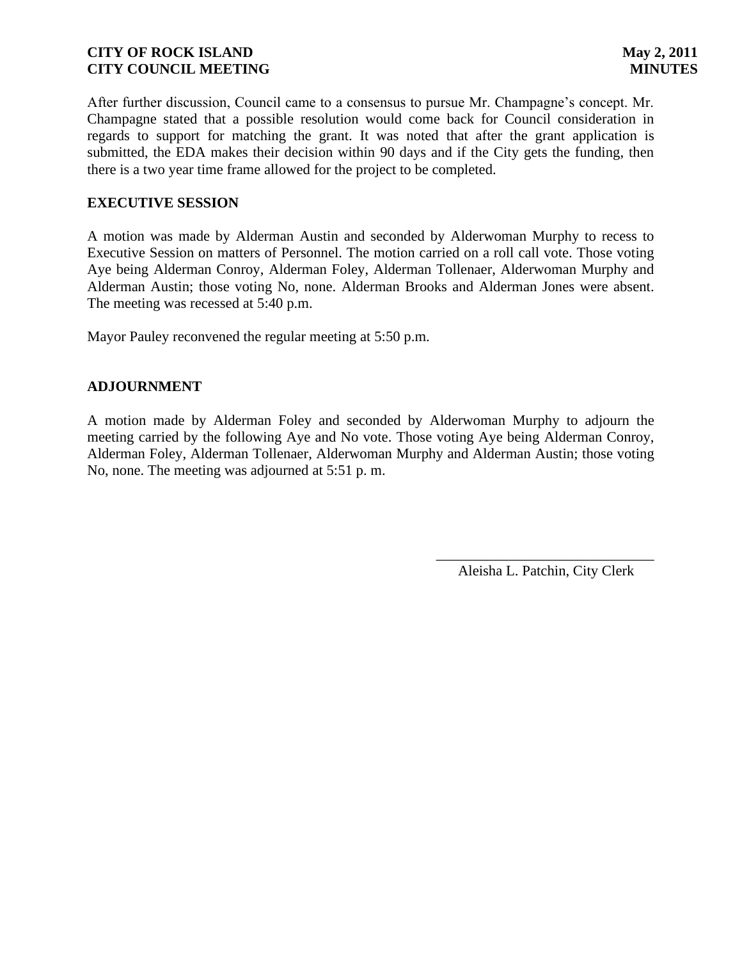After further discussion, Council came to a consensus to pursue Mr. Champagne's concept. Mr. Champagne stated that a possible resolution would come back for Council consideration in regards to support for matching the grant. It was noted that after the grant application is submitted, the EDA makes their decision within 90 days and if the City gets the funding, then there is a two year time frame allowed for the project to be completed.

## **EXECUTIVE SESSION**

A motion was made by Alderman Austin and seconded by Alderwoman Murphy to recess to Executive Session on matters of Personnel. The motion carried on a roll call vote. Those voting Aye being Alderman Conroy, Alderman Foley, Alderman Tollenaer, Alderwoman Murphy and Alderman Austin; those voting No, none. Alderman Brooks and Alderman Jones were absent. The meeting was recessed at 5:40 p.m.

Mayor Pauley reconvened the regular meeting at 5:50 p.m.

## **ADJOURNMENT**

A motion made by Alderman Foley and seconded by Alderwoman Murphy to adjourn the meeting carried by the following Aye and No vote. Those voting Aye being Alderman Conroy, Alderman Foley, Alderman Tollenaer, Alderwoman Murphy and Alderman Austin; those voting No, none. The meeting was adjourned at 5:51 p. m.

> \_\_\_\_\_\_\_\_\_\_\_\_\_\_\_\_\_\_\_\_\_\_\_\_\_\_\_\_\_\_ Aleisha L. Patchin, City Clerk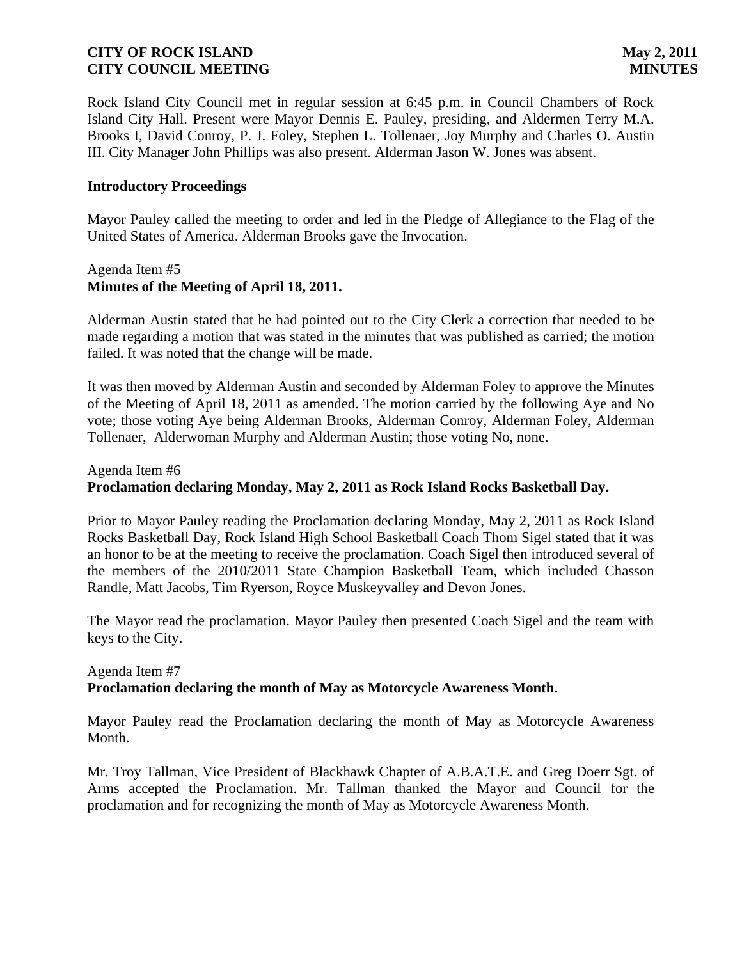Rock Island City Council met in regular session at 6:45 p.m. in Council Chambers of Rock Island City Hall. Present were Mayor Dennis E. Pauley, presiding, and Aldermen Terry M.A. Brooks I, David Conroy, P. J. Foley, Stephen L. Tollenaer, Joy Murphy and Charles O. Austin III. City Manager John Phillips was also present. Alderman Jason W. Jones was absent.

## **Introductory Proceedings**

Mayor Pauley called the meeting to order and led in the Pledge of Allegiance to the Flag of the United States of America. Alderman Brooks gave the Invocation.

## Agenda Item #5 **Minutes of the Meeting of April 18, 2011.**

Alderman Austin stated that he had pointed out to the City Clerk a correction that needed to be made regarding a motion that was stated in the minutes that was published as carried; the motion failed. It was noted that the change will be made.

It was then moved by Alderman Austin and seconded by Alderman Foley to approve the Minutes of the Meeting of April 18, 2011 as amended. The motion carried by the following Aye and No vote; those voting Aye being Alderman Brooks, Alderman Conroy, Alderman Foley, Alderman Tollenaer, Alderwoman Murphy and Alderman Austin; those voting No, none.

## Agenda Item #6 **Proclamation declaring Monday, May 2, 2011 as Rock Island Rocks Basketball Day.**

Prior to Mayor Pauley reading the Proclamation declaring Monday, May 2, 2011 as Rock Island Rocks Basketball Day, Rock Island High School Basketball Coach Thom Sigel stated that it was an honor to be at the meeting to receive the proclamation. Coach Sigel then introduced several of the members of the 2010/2011 State Champion Basketball Team, which included Chasson Randle, Matt Jacobs, Tim Ryerson, Royce Muskeyvalley and Devon Jones.

The Mayor read the proclamation. Mayor Pauley then presented Coach Sigel and the team with keys to the City.

## Agenda Item #7 **Proclamation declaring the month of May as Motorcycle Awareness Month.**

Mayor Pauley read the Proclamation declaring the month of May as Motorcycle Awareness Month.

Mr. Troy Tallman, Vice President of Blackhawk Chapter of A.B.A.T.E. and Greg Doerr Sgt. of Arms accepted the Proclamation. Mr. Tallman thanked the Mayor and Council for the proclamation and for recognizing the month of May as Motorcycle Awareness Month.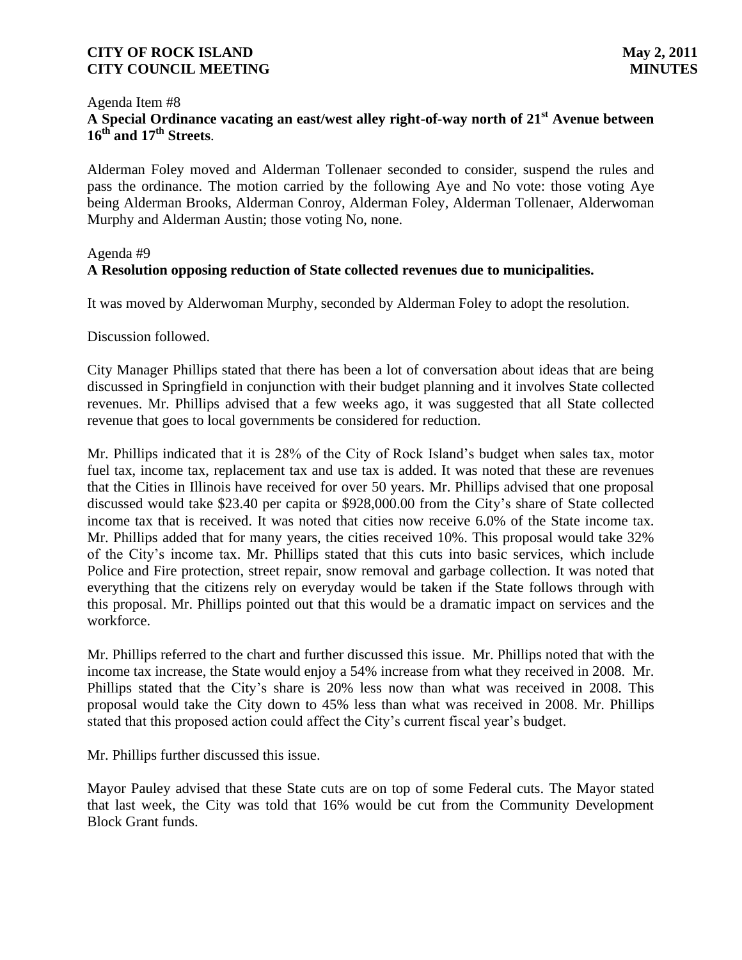#### Agenda Item #8

# **A Special Ordinance vacating an east/west alley right-of-way north of 21st Avenue between 16th and 17th Streets**.

Alderman Foley moved and Alderman Tollenaer seconded to consider, suspend the rules and pass the ordinance. The motion carried by the following Aye and No vote: those voting Aye being Alderman Brooks, Alderman Conroy, Alderman Foley, Alderman Tollenaer, Alderwoman Murphy and Alderman Austin; those voting No, none.

## Agenda #9

## **A Resolution opposing reduction of State collected revenues due to municipalities.**

It was moved by Alderwoman Murphy, seconded by Alderman Foley to adopt the resolution.

Discussion followed.

City Manager Phillips stated that there has been a lot of conversation about ideas that are being discussed in Springfield in conjunction with their budget planning and it involves State collected revenues. Mr. Phillips advised that a few weeks ago, it was suggested that all State collected revenue that goes to local governments be considered for reduction.

Mr. Phillips indicated that it is 28% of the City of Rock Island's budget when sales tax, motor fuel tax, income tax, replacement tax and use tax is added. It was noted that these are revenues that the Cities in Illinois have received for over 50 years. Mr. Phillips advised that one proposal discussed would take \$23.40 per capita or \$928,000.00 from the City's share of State collected income tax that is received. It was noted that cities now receive 6.0% of the State income tax. Mr. Phillips added that for many years, the cities received 10%. This proposal would take 32% of the City's income tax. Mr. Phillips stated that this cuts into basic services, which include Police and Fire protection, street repair, snow removal and garbage collection. It was noted that everything that the citizens rely on everyday would be taken if the State follows through with this proposal. Mr. Phillips pointed out that this would be a dramatic impact on services and the workforce.

Mr. Phillips referred to the chart and further discussed this issue. Mr. Phillips noted that with the income tax increase, the State would enjoy a 54% increase from what they received in 2008. Mr. Phillips stated that the City's share is 20% less now than what was received in 2008. This proposal would take the City down to 45% less than what was received in 2008. Mr. Phillips stated that this proposed action could affect the City's current fiscal year's budget.

Mr. Phillips further discussed this issue.

Mayor Pauley advised that these State cuts are on top of some Federal cuts. The Mayor stated that last week, the City was told that 16% would be cut from the Community Development Block Grant funds.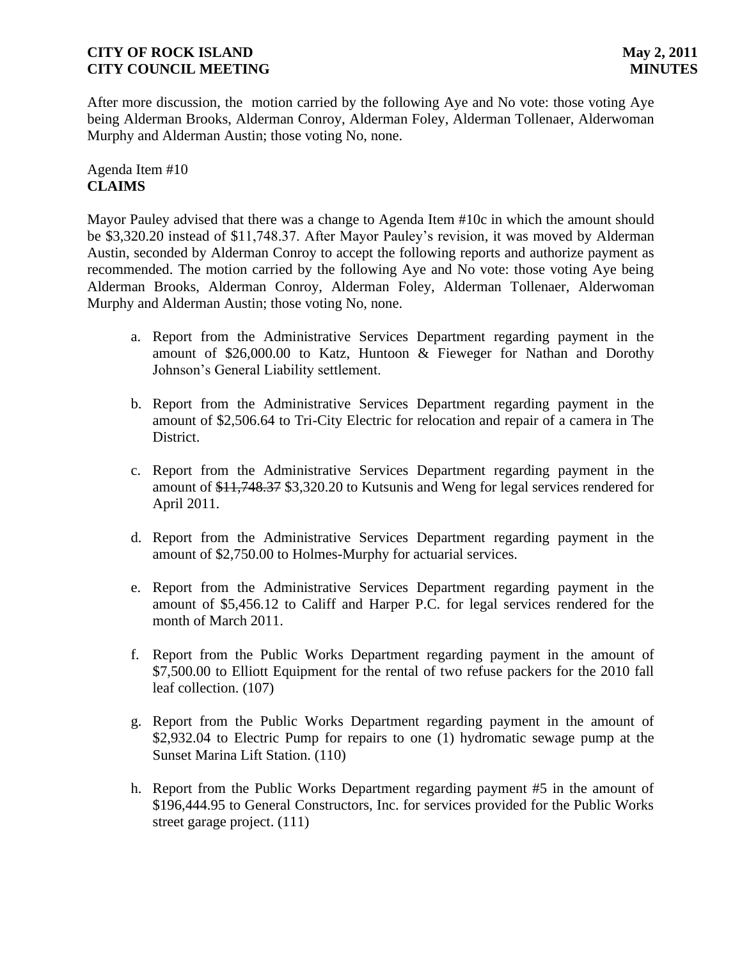After more discussion, the motion carried by the following Aye and No vote: those voting Aye being Alderman Brooks, Alderman Conroy, Alderman Foley, Alderman Tollenaer, Alderwoman Murphy and Alderman Austin; those voting No, none.

## Agenda Item #10 **CLAIMS**

Mayor Pauley advised that there was a change to Agenda Item #10c in which the amount should be \$3,320.20 instead of \$11,748.37. After Mayor Pauley's revision, it was moved by Alderman Austin, seconded by Alderman Conroy to accept the following reports and authorize payment as recommended. The motion carried by the following Aye and No vote: those voting Aye being Alderman Brooks, Alderman Conroy, Alderman Foley, Alderman Tollenaer, Alderwoman Murphy and Alderman Austin; those voting No, none.

- a. Report from the Administrative Services Department regarding payment in the amount of \$26,000.00 to Katz, Huntoon & Fieweger for Nathan and Dorothy Johnson's General Liability settlement.
- b. Report from the Administrative Services Department regarding payment in the amount of \$2,506.64 to Tri-City Electric for relocation and repair of a camera in The District.
- c. Report from the Administrative Services Department regarding payment in the amount of \$11,748.37 \$3,320.20 to Kutsunis and Weng for legal services rendered for April 2011.
- d. Report from the Administrative Services Department regarding payment in the amount of \$2,750.00 to Holmes-Murphy for actuarial services.
- e. Report from the Administrative Services Department regarding payment in the amount of \$5,456.12 to Califf and Harper P.C. for legal services rendered for the month of March 2011.
- f. Report from the Public Works Department regarding payment in the amount of \$7,500.00 to Elliott Equipment for the rental of two refuse packers for the 2010 fall leaf collection. (107)
- g. Report from the Public Works Department regarding payment in the amount of \$2,932.04 to Electric Pump for repairs to one (1) hydromatic sewage pump at the Sunset Marina Lift Station. (110)
- h. Report from the Public Works Department regarding payment #5 in the amount of \$196,444.95 to General Constructors, Inc. for services provided for the Public Works street garage project. (111)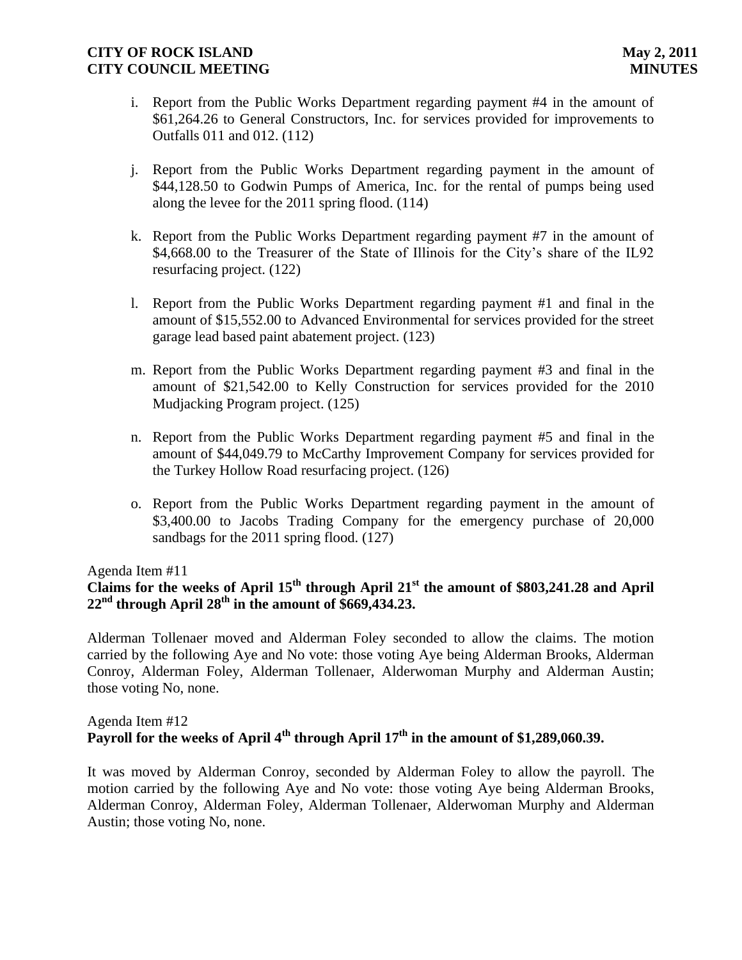- i. Report from the Public Works Department regarding payment #4 in the amount of \$61,264.26 to General Constructors, Inc. for services provided for improvements to Outfalls 011 and 012. (112)
- j. Report from the Public Works Department regarding payment in the amount of \$44,128.50 to Godwin Pumps of America, Inc. for the rental of pumps being used along the levee for the 2011 spring flood. (114)
- k. Report from the Public Works Department regarding payment #7 in the amount of \$4,668.00 to the Treasurer of the State of Illinois for the City's share of the IL92 resurfacing project. (122)
- l. Report from the Public Works Department regarding payment #1 and final in the amount of \$15,552.00 to Advanced Environmental for services provided for the street garage lead based paint abatement project. (123)
- m. Report from the Public Works Department regarding payment #3 and final in the amount of \$21,542.00 to Kelly Construction for services provided for the 2010 Mudjacking Program project. (125)
- n. Report from the Public Works Department regarding payment #5 and final in the amount of \$44,049.79 to McCarthy Improvement Company for services provided for the Turkey Hollow Road resurfacing project. (126)
- o. Report from the Public Works Department regarding payment in the amount of \$3,400.00 to Jacobs Trading Company for the emergency purchase of 20,000 sandbags for the 2011 spring flood. (127)

## Agenda Item #11

# **Claims for the weeks of April 15th through April 21st the amount of \$803,241.28 and April**   $22<sup>nd</sup>$  **through April 28<sup>th</sup>** in the amount of \$669,434.23.

Alderman Tollenaer moved and Alderman Foley seconded to allow the claims. The motion carried by the following Aye and No vote: those voting Aye being Alderman Brooks, Alderman Conroy, Alderman Foley, Alderman Tollenaer, Alderwoman Murphy and Alderman Austin; those voting No, none.

## Agenda Item #12 **Payroll for the weeks of April 4th through April 17th in the amount of \$1,289,060.39.**

It was moved by Alderman Conroy, seconded by Alderman Foley to allow the payroll. The motion carried by the following Aye and No vote: those voting Aye being Alderman Brooks, Alderman Conroy, Alderman Foley, Alderman Tollenaer, Alderwoman Murphy and Alderman Austin; those voting No, none.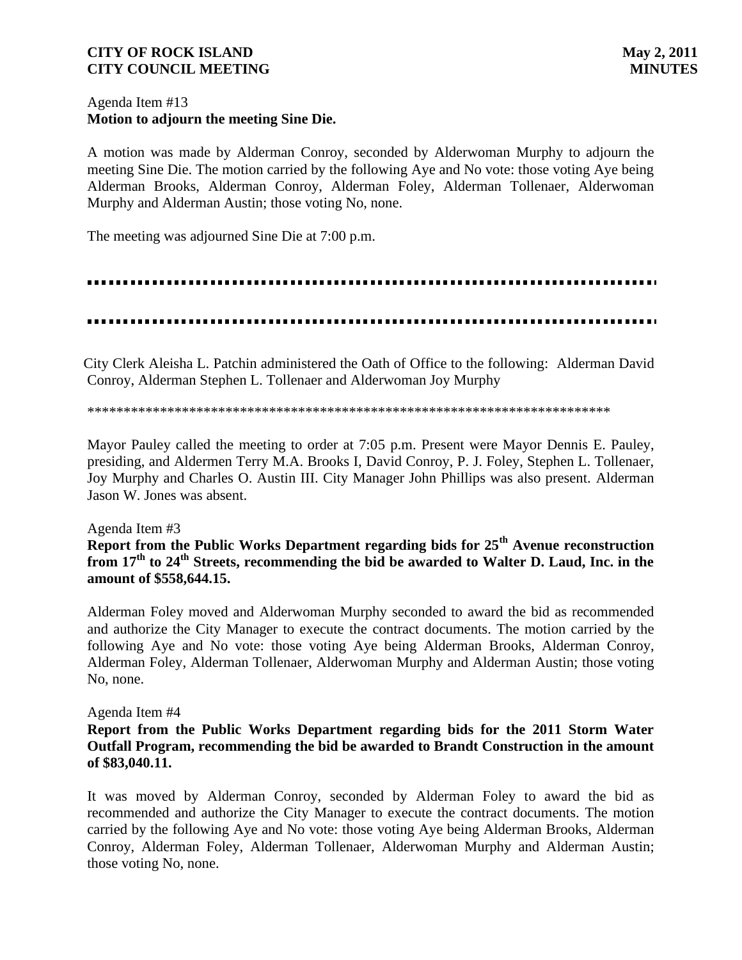## Agenda Item #13 **Motion to adjourn the meeting Sine Die.**

A motion was made by Alderman Conroy, seconded by Alderwoman Murphy to adjourn the meeting Sine Die. The motion carried by the following Aye and No vote: those voting Aye being Alderman Brooks, Alderman Conroy, Alderman Foley, Alderman Tollenaer, Alderwoman Murphy and Alderman Austin; those voting No, none.

The meeting was adjourned Sine Die at 7:00 p.m.

### 

 City Clerk Aleisha L. Patchin administered the Oath of Office to the following: Alderman David Conroy, Alderman Stephen L. Tollenaer and Alderwoman Joy Murphy

#### \*\*\*\*\*\*\*\*\*\*\*\*\*\*\*\*\*\*\*\*\*\*\*\*\*\*\*\*\*\*\*\*\*\*\*\*\*\*\*\*\*\*\*\*\*\*\*\*\*\*\*\*\*\*\*\*\*\*\*\*\*\*\*\*\*\*\*\*\*\*\*\*

Mayor Pauley called the meeting to order at 7:05 p.m. Present were Mayor Dennis E. Pauley, presiding, and Aldermen Terry M.A. Brooks I, David Conroy, P. J. Foley, Stephen L. Tollenaer, Joy Murphy and Charles O. Austin III. City Manager John Phillips was also present. Alderman Jason W. Jones was absent.

#### Agenda Item #3

**Report from the Public Works Department regarding bids for 25th Avenue reconstruction from 17th to 24th Streets, recommending the bid be awarded to Walter D. Laud, Inc. in the amount of \$558,644.15.**

Alderman Foley moved and Alderwoman Murphy seconded to award the bid as recommended and authorize the City Manager to execute the contract documents. The motion carried by the following Aye and No vote: those voting Aye being Alderman Brooks, Alderman Conroy, Alderman Foley, Alderman Tollenaer, Alderwoman Murphy and Alderman Austin; those voting No, none.

#### Agenda Item #4

**Report from the Public Works Department regarding bids for the 2011 Storm Water Outfall Program, recommending the bid be awarded to Brandt Construction in the amount of \$83,040.11.**

It was moved by Alderman Conroy, seconded by Alderman Foley to award the bid as recommended and authorize the City Manager to execute the contract documents. The motion carried by the following Aye and No vote: those voting Aye being Alderman Brooks, Alderman Conroy, Alderman Foley, Alderman Tollenaer, Alderwoman Murphy and Alderman Austin; those voting No, none.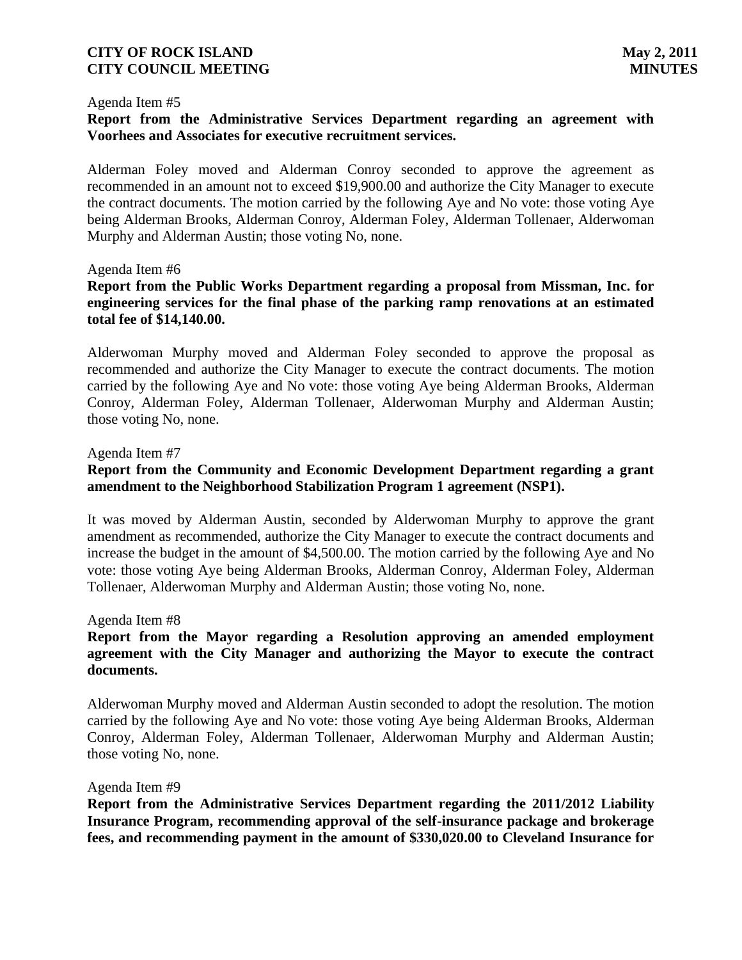#### Agenda Item #5

## **Report from the Administrative Services Department regarding an agreement with Voorhees and Associates for executive recruitment services.**

Alderman Foley moved and Alderman Conroy seconded to approve the agreement as recommended in an amount not to exceed \$19,900.00 and authorize the City Manager to execute the contract documents. The motion carried by the following Aye and No vote: those voting Aye being Alderman Brooks, Alderman Conroy, Alderman Foley, Alderman Tollenaer, Alderwoman Murphy and Alderman Austin; those voting No, none.

#### Agenda Item #6

**Report from the Public Works Department regarding a proposal from Missman, Inc. for engineering services for the final phase of the parking ramp renovations at an estimated total fee of \$14,140.00.**

Alderwoman Murphy moved and Alderman Foley seconded to approve the proposal as recommended and authorize the City Manager to execute the contract documents. The motion carried by the following Aye and No vote: those voting Aye being Alderman Brooks, Alderman Conroy, Alderman Foley, Alderman Tollenaer, Alderwoman Murphy and Alderman Austin; those voting No, none.

#### Agenda Item #7

## **Report from the Community and Economic Development Department regarding a grant amendment to the Neighborhood Stabilization Program 1 agreement (NSP1).**

It was moved by Alderman Austin, seconded by Alderwoman Murphy to approve the grant amendment as recommended, authorize the City Manager to execute the contract documents and increase the budget in the amount of \$4,500.00. The motion carried by the following Aye and No vote: those voting Aye being Alderman Brooks, Alderman Conroy, Alderman Foley, Alderman Tollenaer, Alderwoman Murphy and Alderman Austin; those voting No, none.

#### Agenda Item #8

## **Report from the Mayor regarding a Resolution approving an amended employment agreement with the City Manager and authorizing the Mayor to execute the contract documents.**

Alderwoman Murphy moved and Alderman Austin seconded to adopt the resolution. The motion carried by the following Aye and No vote: those voting Aye being Alderman Brooks, Alderman Conroy, Alderman Foley, Alderman Tollenaer, Alderwoman Murphy and Alderman Austin; those voting No, none.

#### Agenda Item #9

**Report from the Administrative Services Department regarding the 2011/2012 Liability Insurance Program, recommending approval of the self-insurance package and brokerage fees, and recommending payment in the amount of \$330,020.00 to Cleveland Insurance for**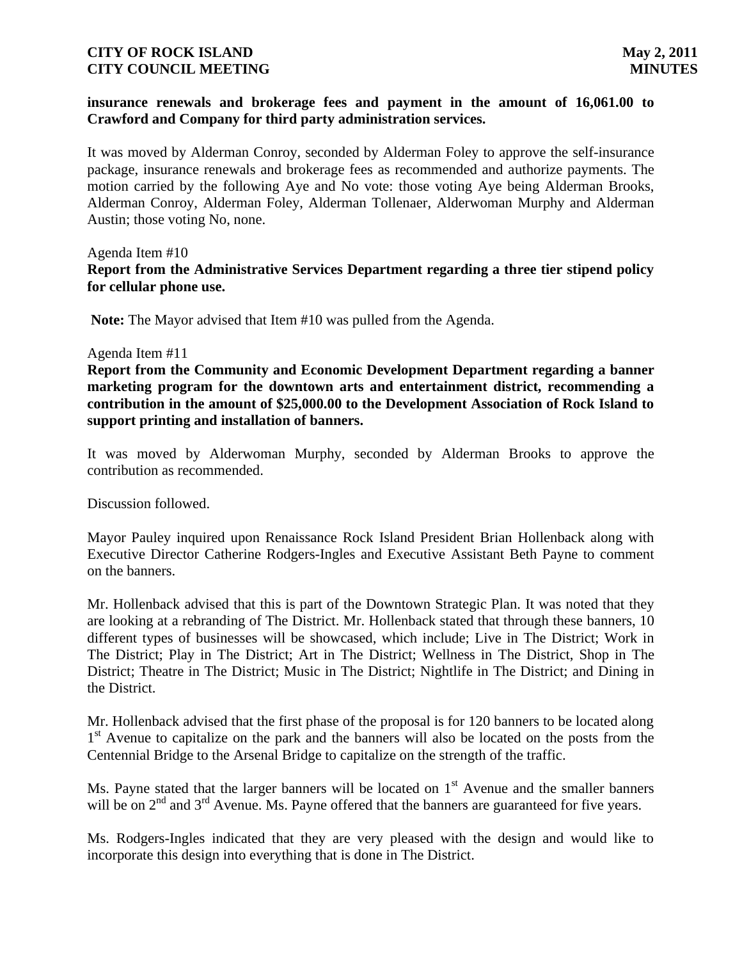## **insurance renewals and brokerage fees and payment in the amount of 16,061.00 to Crawford and Company for third party administration services.**

It was moved by Alderman Conroy, seconded by Alderman Foley to approve the self-insurance package, insurance renewals and brokerage fees as recommended and authorize payments. The motion carried by the following Aye and No vote: those voting Aye being Alderman Brooks, Alderman Conroy, Alderman Foley, Alderman Tollenaer, Alderwoman Murphy and Alderman Austin; those voting No, none.

Agenda Item #10

## **Report from the Administrative Services Department regarding a three tier stipend policy for cellular phone use.**

**Note:** The Mayor advised that Item #10 was pulled from the Agenda.

### Agenda Item #11

**Report from the Community and Economic Development Department regarding a banner marketing program for the downtown arts and entertainment district, recommending a contribution in the amount of \$25,000.00 to the Development Association of Rock Island to support printing and installation of banners.**

It was moved by Alderwoman Murphy, seconded by Alderman Brooks to approve the contribution as recommended.

Discussion followed.

Mayor Pauley inquired upon Renaissance Rock Island President Brian Hollenback along with Executive Director Catherine Rodgers-Ingles and Executive Assistant Beth Payne to comment on the banners.

Mr. Hollenback advised that this is part of the Downtown Strategic Plan. It was noted that they are looking at a rebranding of The District. Mr. Hollenback stated that through these banners, 10 different types of businesses will be showcased, which include; Live in The District; Work in The District; Play in The District; Art in The District; Wellness in The District, Shop in The District; Theatre in The District; Music in The District; Nightlife in The District; and Dining in the District.

Mr. Hollenback advised that the first phase of the proposal is for 120 banners to be located along 1<sup>st</sup> Avenue to capitalize on the park and the banners will also be located on the posts from the Centennial Bridge to the Arsenal Bridge to capitalize on the strength of the traffic.

Ms. Payne stated that the larger banners will be located on  $1<sup>st</sup>$  Avenue and the smaller banners will be on  $2<sup>nd</sup>$  and  $3<sup>rd</sup>$  Avenue. Ms. Payne offered that the banners are guaranteed for five years.

Ms. Rodgers-Ingles indicated that they are very pleased with the design and would like to incorporate this design into everything that is done in The District.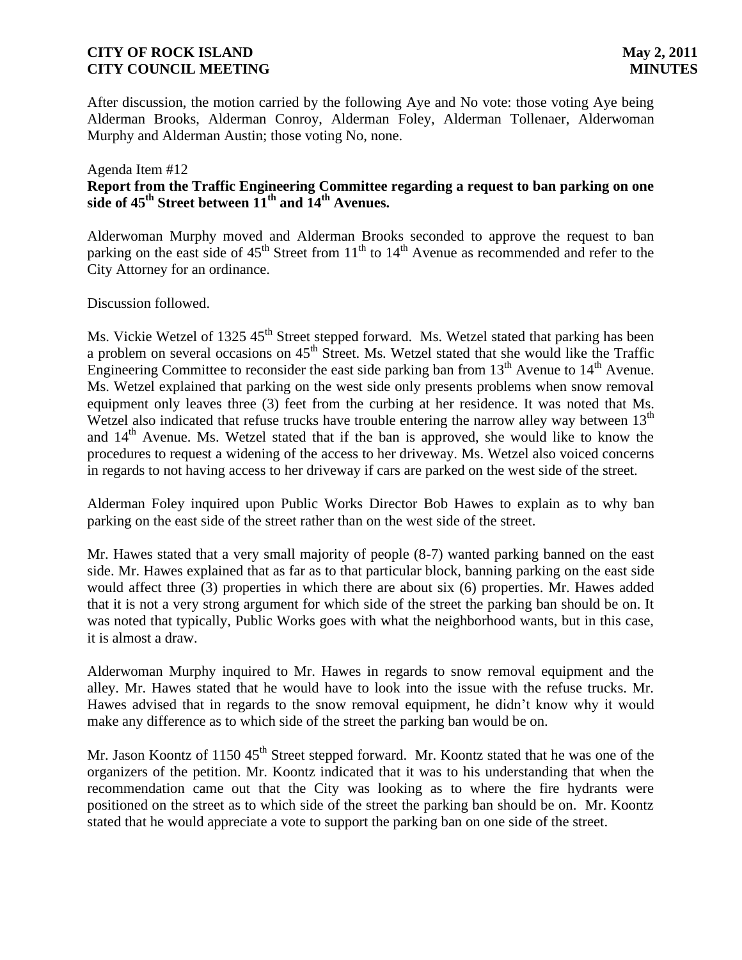After discussion, the motion carried by the following Aye and No vote: those voting Aye being Alderman Brooks, Alderman Conroy, Alderman Foley, Alderman Tollenaer, Alderwoman Murphy and Alderman Austin; those voting No, none.

## Agenda Item #12 **Report from the Traffic Engineering Committee regarding a request to ban parking on one side of 45th Street between 11th and 14th Avenues.**

Alderwoman Murphy moved and Alderman Brooks seconded to approve the request to ban parking on the east side of 45<sup>th</sup> Street from 11<sup>th</sup> to 14<sup>th</sup> Avenue as recommended and refer to the City Attorney for an ordinance.

Discussion followed.

Ms. Vickie Wetzel of 1325 45<sup>th</sup> Street stepped forward. Ms. Wetzel stated that parking has been a problem on several occasions on  $45<sup>th</sup>$  Street. Ms. Wetzel stated that she would like the Traffic Engineering Committee to reconsider the east side parking ban from  $13<sup>th</sup>$  Avenue to  $14<sup>th</sup>$  Avenue. Ms. Wetzel explained that parking on the west side only presents problems when snow removal equipment only leaves three (3) feet from the curbing at her residence. It was noted that Ms. Wetzel also indicated that refuse trucks have trouble entering the narrow alley way between  $13<sup>th</sup>$ and  $14<sup>th</sup>$  Avenue. Ms. Wetzel stated that if the ban is approved, she would like to know the procedures to request a widening of the access to her driveway. Ms. Wetzel also voiced concerns in regards to not having access to her driveway if cars are parked on the west side of the street.

Alderman Foley inquired upon Public Works Director Bob Hawes to explain as to why ban parking on the east side of the street rather than on the west side of the street.

Mr. Hawes stated that a very small majority of people (8-7) wanted parking banned on the east side. Mr. Hawes explained that as far as to that particular block, banning parking on the east side would affect three (3) properties in which there are about six (6) properties. Mr. Hawes added that it is not a very strong argument for which side of the street the parking ban should be on. It was noted that typically, Public Works goes with what the neighborhood wants, but in this case, it is almost a draw.

Alderwoman Murphy inquired to Mr. Hawes in regards to snow removal equipment and the alley. Mr. Hawes stated that he would have to look into the issue with the refuse trucks. Mr. Hawes advised that in regards to the snow removal equipment, he didn't know why it would make any difference as to which side of the street the parking ban would be on.

Mr. Jason Koontz of 1150 45<sup>th</sup> Street stepped forward. Mr. Koontz stated that he was one of the organizers of the petition. Mr. Koontz indicated that it was to his understanding that when the recommendation came out that the City was looking as to where the fire hydrants were positioned on the street as to which side of the street the parking ban should be on. Mr. Koontz stated that he would appreciate a vote to support the parking ban on one side of the street.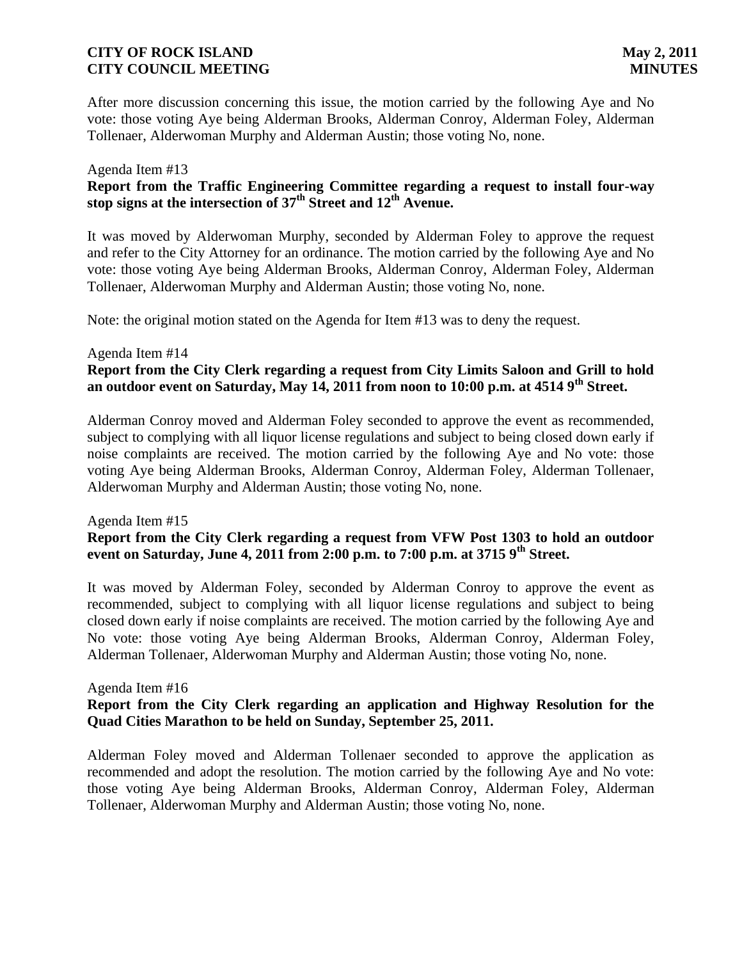After more discussion concerning this issue, the motion carried by the following Aye and No vote: those voting Aye being Alderman Brooks, Alderman Conroy, Alderman Foley, Alderman Tollenaer, Alderwoman Murphy and Alderman Austin; those voting No, none.

## Agenda Item #13

## **Report from the Traffic Engineering Committee regarding a request to install four-way stop signs at the intersection of 37th Street and 12th Avenue.**

It was moved by Alderwoman Murphy, seconded by Alderman Foley to approve the request and refer to the City Attorney for an ordinance. The motion carried by the following Aye and No vote: those voting Aye being Alderman Brooks, Alderman Conroy, Alderman Foley, Alderman Tollenaer, Alderwoman Murphy and Alderman Austin; those voting No, none.

Note: the original motion stated on the Agenda for Item #13 was to deny the request.

## Agenda Item #14 **Report from the City Clerk regarding a request from City Limits Saloon and Grill to hold an outdoor event on Saturday, May 14, 2011 from noon to 10:00 p.m. at 4514 9th Street.**

Alderman Conroy moved and Alderman Foley seconded to approve the event as recommended, subject to complying with all liquor license regulations and subject to being closed down early if noise complaints are received. The motion carried by the following Aye and No vote: those voting Aye being Alderman Brooks, Alderman Conroy, Alderman Foley, Alderman Tollenaer, Alderwoman Murphy and Alderman Austin; those voting No, none.

#### Agenda Item #15

## **Report from the City Clerk regarding a request from VFW Post 1303 to hold an outdoor event on Saturday, June 4, 2011 from 2:00 p.m. to 7:00 p.m. at 3715 9th Street.**

It was moved by Alderman Foley, seconded by Alderman Conroy to approve the event as recommended, subject to complying with all liquor license regulations and subject to being closed down early if noise complaints are received. The motion carried by the following Aye and No vote: those voting Aye being Alderman Brooks, Alderman Conroy, Alderman Foley, Alderman Tollenaer, Alderwoman Murphy and Alderman Austin; those voting No, none.

### Agenda Item #16 **Report from the City Clerk regarding an application and Highway Resolution for the Quad Cities Marathon to be held on Sunday, September 25, 2011.**

Alderman Foley moved and Alderman Tollenaer seconded to approve the application as recommended and adopt the resolution. The motion carried by the following Aye and No vote: those voting Aye being Alderman Brooks, Alderman Conroy, Alderman Foley, Alderman Tollenaer, Alderwoman Murphy and Alderman Austin; those voting No, none.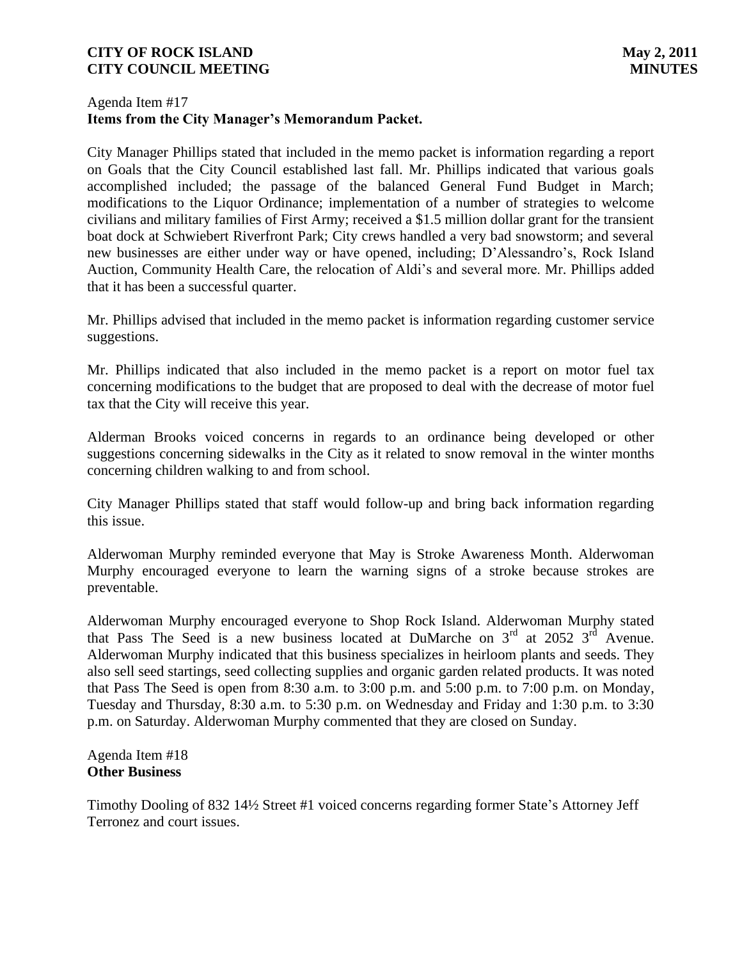## Agenda Item #17 **Items from the City Manager's Memorandum Packet.**

City Manager Phillips stated that included in the memo packet is information regarding a report on Goals that the City Council established last fall. Mr. Phillips indicated that various goals accomplished included; the passage of the balanced General Fund Budget in March; modifications to the Liquor Ordinance; implementation of a number of strategies to welcome civilians and military families of First Army; received a \$1.5 million dollar grant for the transient boat dock at Schwiebert Riverfront Park; City crews handled a very bad snowstorm; and several new businesses are either under way or have opened, including; D'Alessandro's, Rock Island Auction, Community Health Care, the relocation of Aldi's and several more. Mr. Phillips added that it has been a successful quarter.

Mr. Phillips advised that included in the memo packet is information regarding customer service suggestions.

Mr. Phillips indicated that also included in the memo packet is a report on motor fuel tax concerning modifications to the budget that are proposed to deal with the decrease of motor fuel tax that the City will receive this year.

Alderman Brooks voiced concerns in regards to an ordinance being developed or other suggestions concerning sidewalks in the City as it related to snow removal in the winter months concerning children walking to and from school.

City Manager Phillips stated that staff would follow-up and bring back information regarding this issue.

Alderwoman Murphy reminded everyone that May is Stroke Awareness Month. Alderwoman Murphy encouraged everyone to learn the warning signs of a stroke because strokes are preventable.

Alderwoman Murphy encouraged everyone to Shop Rock Island. Alderwoman Murphy stated that Pass The Seed is a new business located at DuMarche on  $3<sup>rd</sup>$  at 2052  $3<sup>rd</sup>$  Avenue. Alderwoman Murphy indicated that this business specializes in heirloom plants and seeds. They also sell seed startings, seed collecting supplies and organic garden related products. It was noted that Pass The Seed is open from 8:30 a.m. to 3:00 p.m. and 5:00 p.m. to 7:00 p.m. on Monday, Tuesday and Thursday, 8:30 a.m. to 5:30 p.m. on Wednesday and Friday and 1:30 p.m. to 3:30 p.m. on Saturday. Alderwoman Murphy commented that they are closed on Sunday.

Agenda Item #18 **Other Business**

Timothy Dooling of 832 14½ Street #1 voiced concerns regarding former State's Attorney Jeff Terronez and court issues.